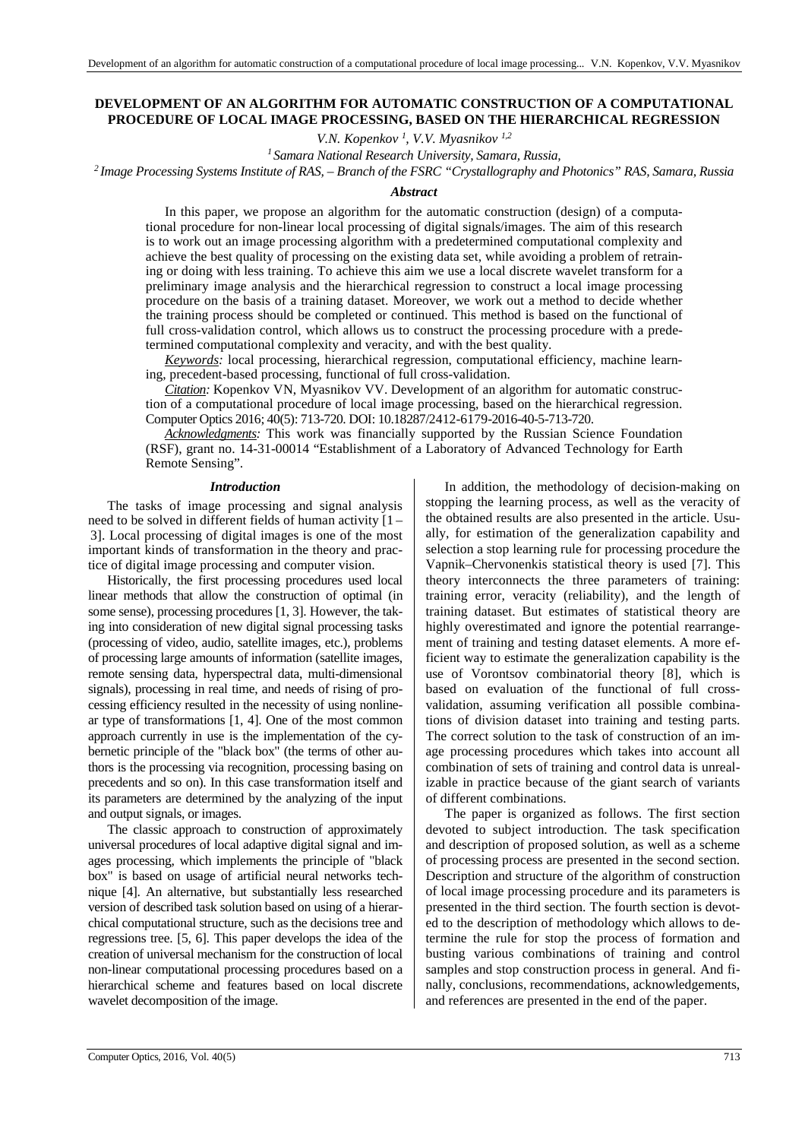# **DEVELOPMENT OF AN ALGORITHM FOR AUTOMATIC CONSTRUCTION OF A COMPUTATIONAL PROCEDURE OF LOCAL IMAGE PROCESSING, BASED ON THE HIERARCHICAL REGRESSION**

*V.N. Kopenkov*<sup>1</sup>, *V.V. Myasnikov*<sup>1,2</sup>

*<sup>1</sup>Samara National Research University, Samara, Russia,* 

*<sup>2</sup>Image Processing Systems Institute оf RAS, – Branch of the FSRC "Crystallography and Photonics" RAS, Samara, Russia* 

#### *Abstract*

In this paper, we propose an algorithm for the automatic construction (design) of a computational procedure for non-linear local processing of digital signals/images. The aim of this research is to work out an image processing algorithm with a predetermined computational complexity and achieve the best quality of processing on the existing data set, while avoiding a problem of retraining or doing with less training. To achieve this aim we use a local discrete wavelet transform for a preliminary image analysis and the hierarchical regression to construct a local image processing procedure on the basis of a training dataset. Moreover, we work out a method to decide whether the training process should be completed or continued. This method is based on the functional of full cross-validation control, which allows us to construct the processing procedure with a predetermined computational complexity and veracity, and with the best quality.

*Keywords:* local processing, hierarchical regression, computational efficiency, machine learning, precedent-based processing, functional of full cross-validation.

*Citation:* Kopenkov VN, Myasnikov VV. Development of an algorithm for automatic construction of a computational procedure of local image processing, based on the hierarchical regression. Computer Optics 2016; 40(5): 713-720. DOI: 10.18287/2412-6179-2016-40-5-713-720.

*Acknowledgments:* This work was financially supported by the Russian Science Foundation (RSF), grant no. 14-31-00014 "Establishment of a Laboratory of Advanced Technology for Earth Remote Sensing".

### *Introduction*

The tasks of image processing and signal analysis need to be solved in different fields of human activity [1 – 3]. Local processing of digital images is one of the most important kinds of transformation in the theory and practice of digital image processing and computer vision.

Historically, the first processing procedures used local linear methods that allow the construction of optimal (in some sense), processing procedures [1, 3]. However, the taking into consideration of new digital signal processing tasks (processing of video, audio, satellite images, etc.), problems of processing large amounts of information (satellite images, remote sensing data, hyperspectral data, multi-dimensional signals), processing in real time, and needs of rising of processing efficiency resulted in the necessity of using nonlinear type of transformations [1, 4]. One of the most common approach currently in use is the implementation of the cybernetic principle of the "black box" (the terms of other authors is the processing via recognition, processing basing on precedents and so on). In this case transformation itself and its parameters are determined by the analyzing of the input and output signals, or images.

The classic approach to construction of approximately universal procedures of local adaptive digital signal and images processing, which implements the principle of "black box" is based on usage of artificial neural networks technique [4]. An alternative, but substantially less researched version of described task solution based on using of a hierarchical computational structure, such as the decisions tree and regressions tree. [5, 6]. This paper develops the idea of the creation of universal mechanism for the construction of local non-linear computational processing procedures based on a hierarchical scheme and features based on local discrete wavelet decomposition of the image.

In addition, the methodology of decision-making on stopping the learning process, as well as the veracity of the obtained results are also presented in the article. Usually, for estimation of the generalization capability and selection a stop learning rule for processing procedure the Vapnik–Chervonenkis statistical theory is used [7]. This theory interconnects the three parameters of training: training error, veracity (reliability), and the length of training dataset. But estimates of statistical theory are highly overestimated and ignore the potential rearrangement of training and testing dataset elements. A more efficient way to estimate the generalization capability is the use of Vorontsov combinatorial theory [8], which is based on evaluation of the functional of full crossvalidation, assuming verification all possible combinations of division dataset into training and testing parts. The correct solution to the task of construction of an image processing procedures which takes into account all combination of sets of training and control data is unrealizable in practice because of the giant search of variants of different combinations.

The paper is organized as follows. The first section devoted to subject introduction. The task specification and description of proposed solution, as well as a scheme of processing process are presented in the second section. Description and structure of the algorithm of construction of local image processing procedure and its parameters is presented in the third section. The fourth section is devoted to the description of methodology which allows to determine the rule for stop the process of formation and busting various combinations of training and control samples and stop construction process in general. And finally, conclusions, recommendations, acknowledgements, and references are presented in the end of the paper.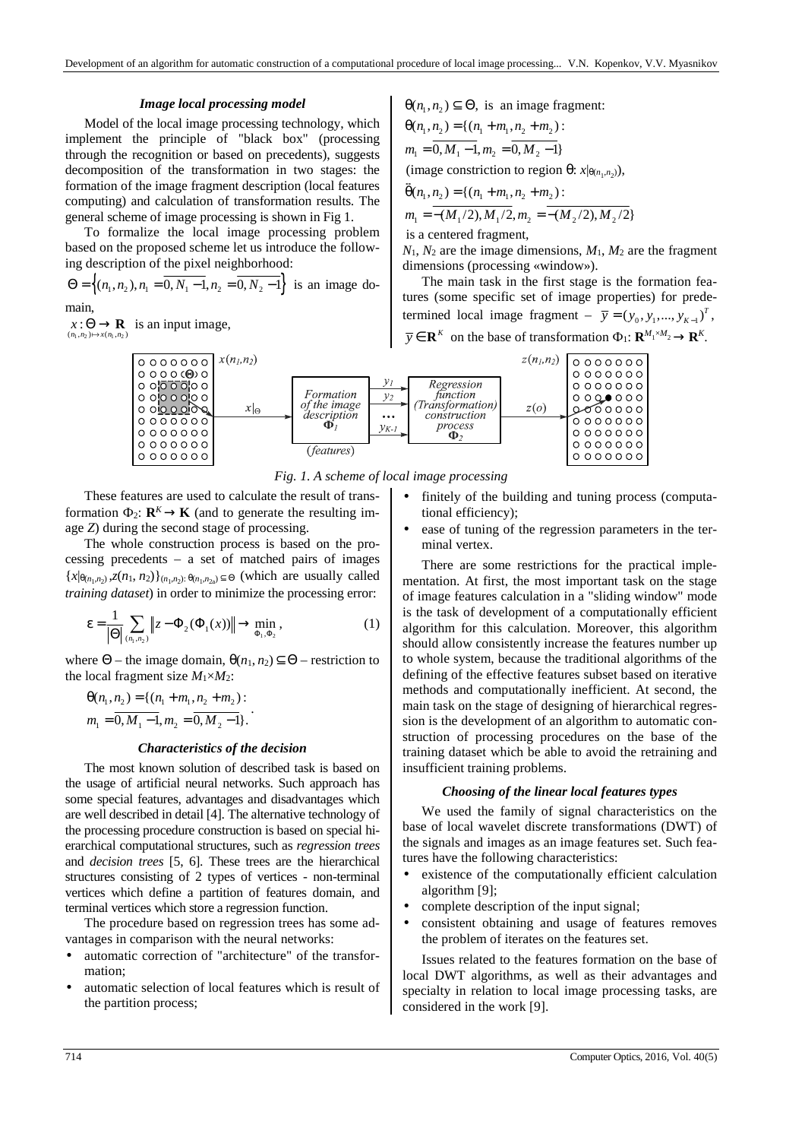## *Image local processing model*

Model of the local image processing technology, which implement the principle of "black box" (processing through the recognition or based on precedents), suggests decomposition of the transformation in two stages: the formation of the image fragment description (local features computing) and calculation of transformation results. The general scheme of image processing is shown in Fig 1.

To formalize the local image processing problem based on the proposed scheme let us introduce the following description of the pixel neighborhood:

 $\Theta = \left\{ (n_1, n_2), n_1 = 0, N_1 - 1, n_2 = 0, N_2 - 1 \right\}$  is an image domain,

 $(n_1, n_2) \mapsto x(n_1, n_2)$  $x : \Theta \to \mathbf{R}$  is an input image,

$$
\theta(n_1, n_2) \subseteq \Theta
$$
, is an image fragment:

$$
\theta(n_1, n_2) = \{(n_1 + m_1, n_2 + m_2) :
$$
  
\n
$$
m_1 = 0, M_1 - 1, m_2 = 0, M_2 - 1\}
$$
  
\n
$$
(i_1, i_2, i_3, m_3) = 0, M_3 - 1
$$

(image constriction to region  $\theta$ : *x*| $\theta$ <sub>(*n*<sub>1</sub>,*n*<sub>2</sub>)</sub>),

$$
\theta(n_1, n_2) = \{ (n_1 + m_1, n_2 + m_2) : m_1 = -(M_1/2), M_1/2, m_2 = -(M_2/2), M_2/2 \}
$$

is a centered fragment,

 $N_1$ ,  $N_2$  are the image dimensions,  $M_1$ ,  $M_2$  are the fragment dimensions (processing «window»).

The main task in the first stage is the formation features (some specific set of image properties) for predetermined local image fragment –  $\bar{y} = (y_0, y_1, ..., y_{K-1})^T$ ,  $\overline{y} \in \mathbf{R}^K$  on the base of transformation  $\Phi_1$ :  $\mathbf{R}^{M_1 \times M_2} \to \mathbf{R}^K$ .



*Fig. 1. A scheme of local image processing* 

These features are used to calculate the result of transformation  $\Phi_2$ :  $\mathbf{R}^K \to \mathbf{K}$  (and to generate the resulting image *Z*) during the second stage of processing.

The whole construction process is based on the processing precedents – a set of matched pairs of images  ${x|_{\theta(n_1,n_2)}, z(n_1, n_2)}_{(n_1,n_2): \theta(n_1,n_{2\alpha}) \subseteq \Theta}$  (which are usually called *training dataset*) in order to minimize the processing error:

$$
\varepsilon = \frac{1}{|\Theta|} \sum_{(n_1, n_2)} \|z - \Phi_2(\Phi_1(x))\| \to \min_{\Phi_1, \Phi_2},
$$
 (1)

where  $\Theta$  – the image domain,  $\theta(n_1, n_2) \subset \Theta$  – restriction to the local fragment size  $M_1 \times M_2$ :

$$
\Theta(n_1, n_2) = \{ (n_1 + m_1, n_2 + m_2) : m_1 = \overline{0, M_1 - 1}, m_2 = \overline{0, M_2 - 1} \}.
$$

## *Characteristics of the decision*

The most known solution of described task is based on the usage of artificial neural networks. Such approach has some special features, advantages and disadvantages which are well described in detail [4]. The alternative technology of the processing procedure construction is based on special hierarchical computational structures, such as *regression trees* and *decision trees* [5, 6]. These trees are the hierarchical structures consisting of 2 types of vertices - non-terminal vertices which define a partition of features domain, and terminal vertices which store a regression function.

The procedure based on regression trees has some advantages in comparison with the neural networks:

- automatic correction of "architecture" of the transformation;
- automatic selection of local features which is result of the partition process;
- finitely of the building and tuning process (computational efficiency);
- ease of tuning of the regression parameters in the terminal vertex.

There are some restrictions for the practical implementation. At first, the most important task on the stage of image features calculation in a "sliding window" mode is the task of development of a computationally efficient algorithm for this calculation. Moreover, this algorithm should allow consistently increase the features number up to whole system, because the traditional algorithms of the defining of the effective features subset based on iterative methods and computationally inefficient. At second, the main task on the stage of designing of hierarchical regression is the development of an algorithm to automatic construction of processing procedures on the base of the training dataset which be able to avoid the retraining and insufficient training problems.

## *Choosing of the linear local features types*

We used the family of signal characteristics on the base of local wavelet discrete transformations (DWT) of the signals and images as an image features set. Such features have the following characteristics:

- existence of the computationally efficient calculation algorithm [9];
- complete description of the input signal;
- consistent obtaining and usage of features removes the problem of iterates on the features set.

Issues related to the features formation on the base of local DWT algorithms, as well as their advantages and specialty in relation to local image processing tasks, are considered in the work [9].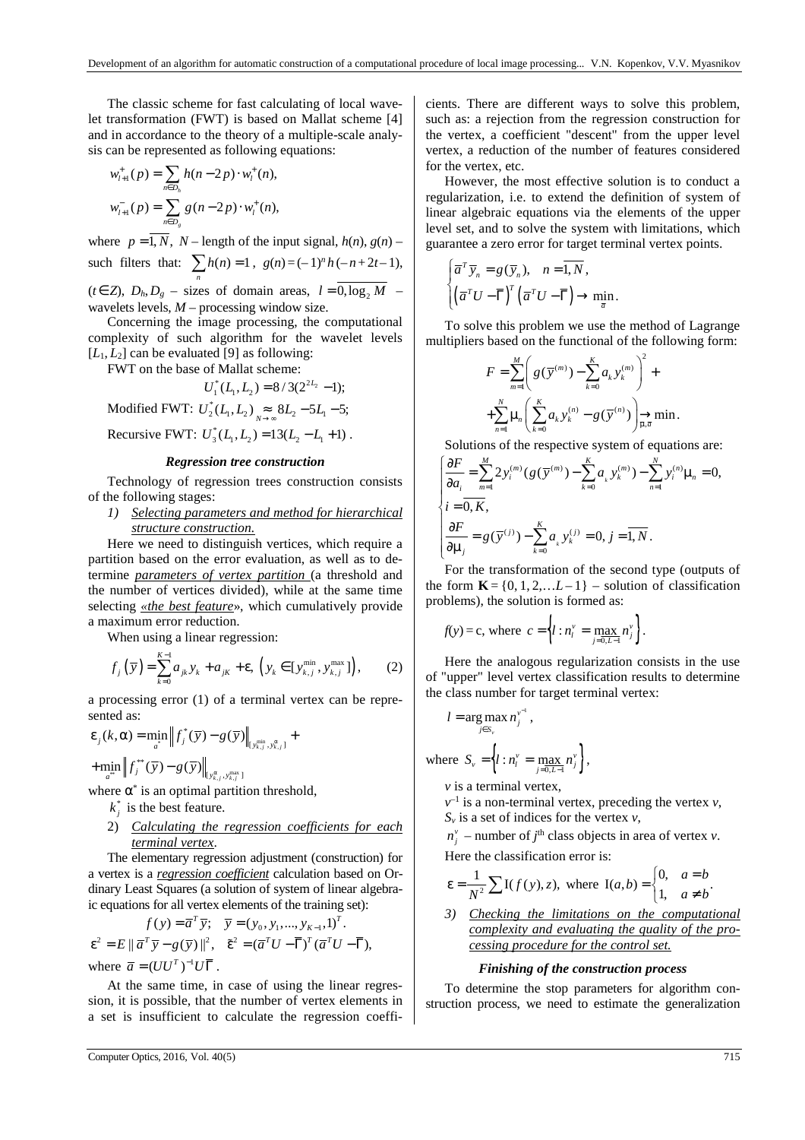The classic scheme for fast calculating of local wavelet transformation (FWT) is based on Mallat scheme [4] and in accordance to the theory of a multiple-scale analysis can be represented as following equations:

$$
w_{l+1}^+(p) = \sum_{n \in D_h} h(n-2p) \cdot w_l^+(n),
$$
  

$$
w_{l+1}^-(p) = \sum_{n \in D_g} g(n-2p) \cdot w_l^+(n),
$$

where  $p = \overline{1, N}$ ,  $N$  – length of the input signal,  $h(n)$ ,  $g(n)$  – such filters that:  $\sum h(n) = 1$ ,  $g(n) = (-1)^n h(-n+2t-1)$ , *n*  $(t \in \mathbb{Z})$ ,  $D_h$ ,  $D_g$  – sizes of domain areas,  $l = 0$ ,  $\log_2 M$  – wavelets levels, *M* – processing window size.

Concerning the image processing, the computational complexity of such algorithm for the wavelet levels  $[L_1, L_2]$  can be evaluated [9] as following:

FWT on the base of Mallat scheme:

$$
U_1^*(L_1, L_2) = 8/3(2^{2L_2} - 1);
$$

Modified FWT:  $U_2^*(L_1, L_2) \underset{N \to \infty}{\approx} 8L_2 - 5L_1 - 5;$ 

Recursive FWT:  $U_3^*(L_1, L_2) = 13(L_2 - L_1 + 1)$ .

#### *Regression tree construction*

Technology of regression trees construction consists of the following stages:

*1) Selecting parameters and method for hierarchical structure construction.* 

Here we need to distinguish vertices, which require a partition based on the error evaluation, as well as to determine *parameters of vertex partition* (a threshold and the number of vertices divided), while at the same time selecting *«the best feature*», which cumulatively provide a maximum error reduction.

When using a linear regression:

$$
f_j(\bar{y}) = \sum_{k=0}^{K-1} a_{jk} y_k + a_{jk} + \varepsilon, \ (y_k \in [y_{k,j}^{\min}, y_{k,j}^{\max}]), \qquad (2)
$$

a processing error (1) of a terminal vertex can be represented as:

$$
\mathcal{E}_j(k, \alpha) = \min_{a} \left\| f_j^*(\overline{y}) - g(\overline{y}) \right\|_{\left\{y_{k,j}^{\min}, y_{k,j}^{\alpha}\right\}} + \min_{a} \left\| f_j^*(\overline{y}) - g(\overline{y}) \right\|_{\left\{y_{k,j}^{\alpha}, y_{k,j}^{\max}\right\}}
$$

where  $\alpha^*$  is an optimal partition threshold,

- $k_j^*$  is the best feature.
- 2) *Calculating the regression coefficients for each terminal vertex*.

The elementary regression adjustment (construction) for a vertex is a *regression coefficient* calculation based on Ordinary Least Squares (a solution of system of linear algebraic equations for all vertex elements of the training set):

$$
f(y) = \overline{a}^T \overline{y}; \quad \overline{y} = (y_0, y_1, \dots, y_{K-1}, 1)^T.
$$
  

$$
\varepsilon^2 = E || \overline{a}^T \overline{y} - g(\overline{y}) ||^2, \quad \tilde{\varepsilon}^2 = (\overline{a}^T U - \overline{\Gamma})^T (\overline{a}^T U - \overline{\Gamma}),
$$
  
where  $\overline{a} = (UU^T)^{-1} U \overline{\Gamma}$ .

At the same time, in case of using the linear regression, it is possible, that the number of vertex elements in a set is insufficient to calculate the regression coefficients. There are different ways to solve this problem, such as: a rejection from the regression construction for the vertex, a coefficient "descent" from the upper level vertex, a reduction of the number of features considered for the vertex, etc.

However, the most effective solution is to conduct a regularization, i.e. to extend the definition of system of linear algebraic equations via the elements of the upper level set, and to solve the system with limitations, which guarantee a zero error for target terminal vertex points.

$$
\begin{cases}\n\overline{a}^T \overline{y}_n = g(\overline{y}_n), & n = \overline{1, N}, \\
\left(\overline{a}^T U - \overline{\Gamma}\right)^T \left(\overline{a}^T U - \overline{\Gamma}\right) \to \min_{\overline{a}}.\n\end{cases}
$$

To solve this problem we use the method of Lagrange multipliers based on the functional of the following form:

$$
F = \sum_{m=1}^{M} \left( g(\overline{y}^{(m)}) - \sum_{k=0}^{K} a_k y_k^{(m)} \right)^2 +
$$
  
+
$$
\sum_{n=1}^{N} \mu_n \left( \sum_{k=0}^{K} a_k y_k^{(n)} - g(\overline{y}^{(n)}) \right) \xrightarrow{\rightarrow} \min.
$$

Solutions of the respective system of equations are:

$$
\begin{cases}\n\frac{\partial F}{\partial a_i} = \sum_{m=1}^{M} 2 y_i^{(m)} (g(\overline{y}^{(m)}) - \sum_{k=0}^{K} a_k y_k^{(m)}) - \sum_{n=1}^{N} y_i^{(n)} \mu_n = 0, \\
i = \overline{0, K}, \\
\frac{\partial F}{\partial \mu_j} = g(\overline{y}^{(j)}) - \sum_{k=0}^{K} a_k y_k^{(j)} = 0, j = \overline{1, N}.\n\end{cases}
$$

For the transformation of the second type (outputs of the form  $\mathbf{K} = \{0, 1, 2, \ldots L-1\}$  – solution of classification problems), the solution is formed as:

$$
f(y) = c
$$
, where  $c = \left\{ l : n_l^v = \max_{j=0, L-1} n_j^v \right\}$ .

Here the analogous regularization consists in the use of "upper" level vertex classification results to determine the class number for target terminal vertex:

$$
l = \arg \max_{j \in S_v} n_j^{v^{-1}},
$$
  
where 
$$
S_v = \left\{ l : n_i^v = \max_{j=0, L-1} n_j^v \right\},
$$

*v* is a terminal vertex,

 $v^{-1}$  is a non-terminal vertex, preceding the vertex  $v$ , *Sv* is a set of indices for the vertex *v*,

 $n_j^{\nu}$  – number of *j*<sup>th</sup> class objects in area of vertex *v*. Here the classification error is:

$$
\varepsilon = \frac{1}{N^2} \sum I(f(y), z), \text{ where } I(a, b) = \begin{cases} 0, & a = b \\ 1, & a \neq b \end{cases}.
$$

*3) Checking the limitations on the computational complexity and evaluating the quality of the processing procedure for the control set.* 

### *Finishing of the construction process*

To determine the stop parameters for algorithm construction process, we need to estimate the generalization

*a b*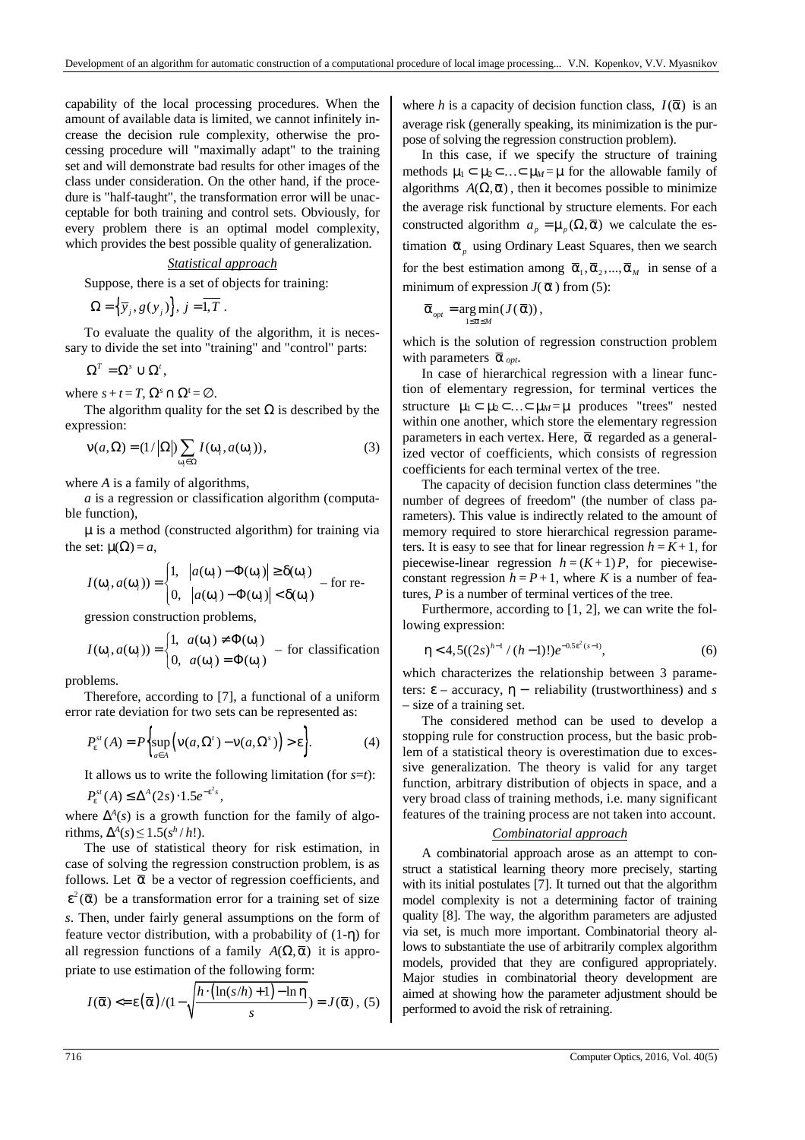capability of the local processing procedures. When the amount of available data is limited, we cannot infinitely increase the decision rule complexity, otherwise the processing procedure will "maximally adapt" to the training set and will demonstrate bad results for other images of the class under consideration. On the other hand, if the procedure is "half-taught", the transformation error will be unacceptable for both training and control sets. Obviously, for every problem there is an optimal model complexity, which provides the best possible quality of generalization.

# *Statistical approach*

Suppose, there is a set of objects for training:

$$
\Omega = {\overline{y}_j, g(y_j)}, j = \overline{1, T}.
$$

To evaluate the quality of the algorithm, it is necessary to divide the set into "training" and "control" parts:

$$
\Omega^T=\Omega^s\cup\Omega^t,
$$

where  $s + t = T$ ,  $\Omega^s \cap \Omega^t = \emptyset$ .

The algorithm quality for the set  $\Omega$  is described by the expression:

$$
v(a,\Omega) = (1/|\Omega|) \sum_{\omega_i \in \Omega} I(\omega_i, a(\omega_i)),
$$
\n(3)

where *A* is a family of algorithms,

*a* is a regression or classification algorithm (computable function),

µ is a method (constructed algorithm) for training via the set:  $\mu(\Omega) = a$ ,

$$
I(\omega_i, a(\omega_i)) = \begin{cases} 1, & |a(\omega_i) - \Phi(\omega_i)| \ge \delta(\omega_i) \\ 0, & |a(\omega_i) - \Phi(\omega_i)| < \delta(\omega_i) \end{cases} \text{ for re-}
$$

gression construction problems,

$$
I(\omega_i, a(\omega_i)) = \begin{cases} 1, & a(\omega_i) \neq \Phi(\omega_i) \\ 0, & a(\omega_i) = \Phi(\omega_i) \end{cases}
$$
 - for classification

problems.

Therefore, according to [7], a functional of a uniform error rate deviation for two sets can be represented as:

$$
P_{\varepsilon}^{st}(A) = P\bigg\{\sup_{a \in A} \bigg(\mathsf{V}(a,\Omega') - \mathsf{V}(a,\Omega^s)\bigg) > \varepsilon\bigg\}.\tag{4}
$$

It allows us to write the following limitation (for *s*=*t*):

 $P_{\varepsilon}^{st}(A) \leq \Delta^{A}(2s) \cdot 1.5 e^{-\varepsilon^{2} s},$ 

where  $\Delta^A(s)$  is a growth function for the family of algorithms,  $\Delta^A(s) \leq 1.5(s^h/h!)$ .

The use of statistical theory for risk estimation, in case of solving the regression construction problem, is as follows. Let  $\bar{\alpha}$  be a vector of regression coefficients, and  $\epsilon^2(\overline{\alpha})$  be a transformation error for a training set of size *s*. Then, under fairly general assumptions on the form of feature vector distribution, with a probability of (1-η) for all regression functions of a family  $A(\Omega, \overline{\alpha})$  it is appropriate to use estimation of the following form:

$$
I(\overline{\alpha}) \leq \varepsilon(\overline{\alpha})/(1-\sqrt{\frac{h \cdot (\ln(s/h) + 1) - \ln \eta}{s}}) = J(\overline{\alpha}), (5)
$$

where *h* is a capacity of decision function class,  $I(\bar{\alpha})$  is an average risk (generally speaking, its minimization is the purpose of solving the regression construction problem).

In this case, if we specify the structure of training methods  $\mu_1 \subset \mu_2 \subset \ldots \subset \mu_M = \mu$  for the allowable family of algorithms  $A(\Omega, \overline{\alpha})$ , then it becomes possible to minimize the average risk functional by structure elements. For each constructed algorithm  $a_p = \mu_p(\Omega, \overline{\alpha})$  we calculate the estimation  $\bar{\alpha}_p$  using Ordinary Least Squares, then we search for the best estimation among  $\bar{\alpha}_1, \bar{\alpha}_2, ..., \bar{\alpha}_M$  in sense of a minimum of expression  $J(\bar{\alpha})$  from (5):

$$
\overline{\alpha}_{_{opt}} = \underset{1 \leq \overline{\alpha} \leq M}{\arg \min} (J(\overline{\alpha})),
$$

which is the solution of regression construction problem with parameters  $\bar{\alpha}_{opt}$ .

In case of hierarchical regression with a linear function of elementary regression, for terminal vertices the structure  $\mu_1 \subset \mu_2 \subset \ldots \subset \mu_M = \mu$  produces "trees" nested within one another, which store the elementary regression parameters in each vertex. Here,  $\bar{\alpha}$  regarded as a generalized vector of coefficients, which consists of regression coefficients for each terminal vertex of the tree.

The capacity of decision function class determines "the number of degrees of freedom" (the number of class parameters). This value is indirectly related to the amount of memory required to store hierarchical regression parameters. It is easy to see that for linear regression  $h = K + 1$ , for piecewise-linear regression  $h = (K + 1)P$ , for piecewiseconstant regression  $h = P + 1$ , where *K* is a number of features, *P* is a number of terminal vertices of the tree.

Furthermore, according to [1, 2], we can write the following expression:

$$
\eta < 4, 5((2s)^{h-1}/(h-1)!)e^{-0.5\varepsilon^2(s-1)},
$$
\n(6)

which characterizes the relationship between 3 parameters:  $\epsilon$  – accuracy,  $\eta$  – reliability (trustworthiness) and *s* – size of a training set.

The considered method can be used to develop a stopping rule for construction process, but the basic problem of a statistical theory is overestimation due to excessive generalization. The theory is valid for any target function, arbitrary distribution of objects in space, and a very broad class of training methods, i.e. many significant features of the training process are not taken into account.

# *Combinatorial approach*

A combinatorial approach arose as an attempt to construct a statistical learning theory more precisely, starting with its initial postulates [7]. It turned out that the algorithm model complexity is not a determining factor of training quality [8]. The way, the algorithm parameters are adjusted via set, is much more important. Combinatorial theory allows to substantiate the use of arbitrarily complex algorithm models, provided that they are configured appropriately. Major studies in combinatorial theory development are aimed at showing how the parameter adjustment should be performed to avoid the risk of retraining.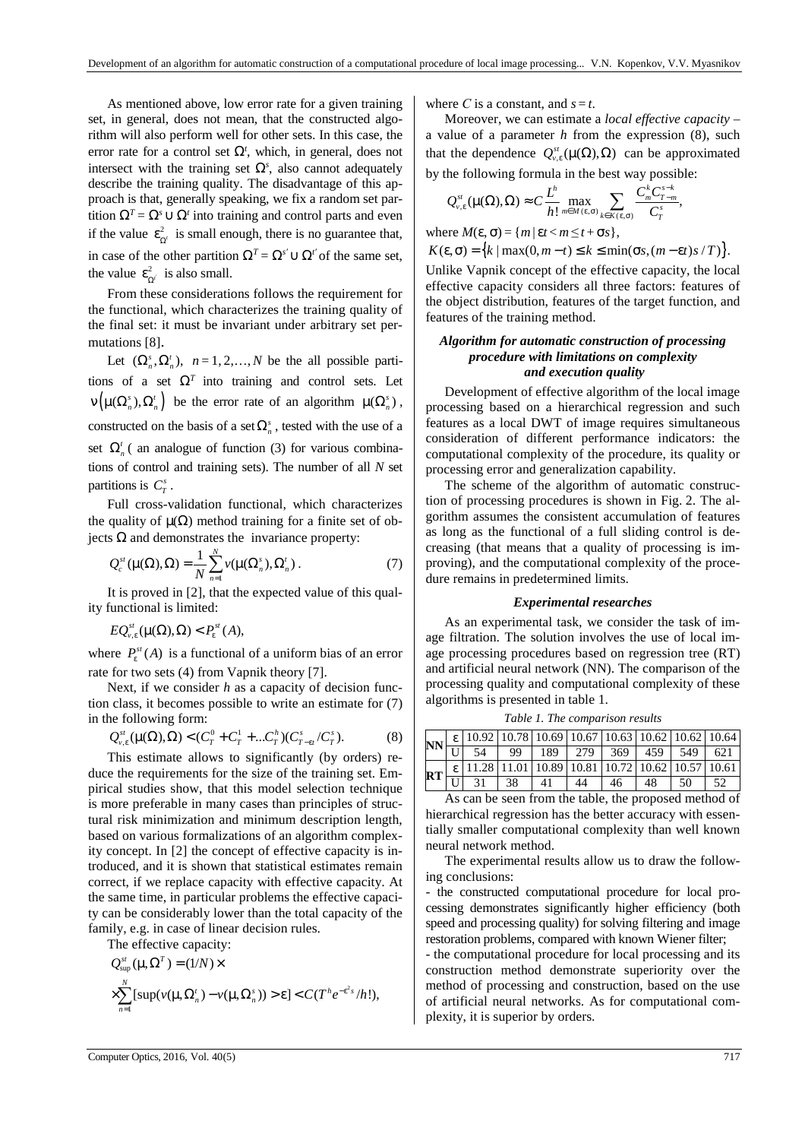As mentioned above, low error rate for a given training set, in general, does not mean, that the constructed algorithm will also perform well for other sets. In this case, the error rate for a control set  $\Omega^t$ , which, in general, does not intersect with the training set  $\Omega$ <sup>*s*</sup>, also cannot adequately describe the training quality. The disadvantage of this approach is that, generally speaking, we fix a random set partition  $\Omega^T = \Omega^s \cup \Omega^t$  into training and control parts and even if the value  $\varepsilon_{\Omega'}^2$  is small enough, there is no guarantee that, in case of the other partition  $\Omega^T = \Omega^{s'} \cup \Omega^{t'}$  of the same set, the value  $\epsilon_{\Omega'}^2$  is also small.

From these considerations follows the requirement for the functional, which characterizes the training quality of the final set: it must be invariant under arbitrary set permutations [8].

Let  $(\Omega_n^s, \Omega_n^t)$ ,  $n = 1, 2, ..., N$  be the all possible partitions of a set  $\Omega^T$  into training and control sets. Let  $\nu \left( \mu(\Omega_n^s), \Omega_n^t \right)$  be the error rate of an algorithm  $\mu(\Omega_n^s)$ , constructed on the basis of a set  $\Omega_n^s$ , tested with the use of a set  $\Omega_n^t$  (an analogue of function (3) for various combinations of control and training sets). The number of all *N* set partitions is  $C_T^s$ .

Full cross-validation functional, which characterizes the quality of  $\mu(\Omega)$  method training for a finite set of objects Ω and demonstrates the invariance property:

$$
Q_c^{st}(\mu(\Omega),\Omega) = \frac{1}{N} \sum_{n=1}^{N} \nu(\mu(\Omega_n^s),\Omega_n').
$$
 (7)

It is proved in [2], that the expected value of this quality functional is limited:

 $EQ_{\nu,\varepsilon}^{st}(\mu(\Omega),\Omega) < P_{\varepsilon}^{st}(A),$ 

where  $P_{\varepsilon}^{st}(A)$  is a functional of a uniform bias of an error rate for two sets (4) from Vapnik theory [7].

Next, if we consider *h* as a capacity of decision function class, it becomes possible to write an estimate for (7) in the following form:

$$
Q_{v,\varepsilon}^{st}(\mu(\Omega),\Omega) < (C_T^0 + C_T^1 + \dots C_T^h)(C_{T-\varepsilon t}^s / C_T^s). \tag{8}
$$

This estimate allows to significantly (by orders) reduce the requirements for the size of the training set. Empirical studies show, that this model selection technique is more preferable in many cases than principles of structural risk minimization and minimum description length, based on various formalizations of an algorithm complexity concept. In [2] the concept of effective capacity is introduced, and it is shown that statistical estimates remain correct, if we replace capacity with effective capacity. At the same time, in particular problems the effective capacity can be considerably lower than the total capacity of the family, e.g. in case of linear decision rules.

The effective capacity:

$$
Q_{\sup}^{st}(\mu, \Omega^T) = (1/N) \times
$$
  
 
$$
\times \sum_{n=1}^N [\sup(\nu(\mu, \Omega_n^t) - \nu(\mu, \Omega_n^s)) > \varepsilon] < C(T^h e^{-\varepsilon^2 s} / h!),
$$

where *C* is a constant, and  $s = t$ .

Moreover, we can estimate a *local effective capacity* – a value of a parameter *h* from the expression (8), such that the dependence  $Q_{v,\varepsilon}^{st}(\mu(\Omega), \Omega)$  can be approximated by the following formula in the best way possible:

$$
Q_{v,\varepsilon}^{st}(\mu(\Omega),\Omega)\approx C\frac{L^h}{h!}\max_{m\in M(\varepsilon,\sigma)}\sum_{k\in K(\varepsilon,\sigma)}\frac{C_m^kC_{T-m}^{s-k}}{C_T^s},
$$

where  $M(\varepsilon, \sigma) = \{m \mid \varepsilon t < m \le t + \sigma s\},\$ 

 $K(\varepsilon, \sigma) = \{k \mid \max(0, m - t) \leq k \leq \min(\sigma s, (m - \varepsilon t)s / T)\}.$ 

Unlike Vapnik concept of the effective capacity, the local effective capacity considers all three factors: features of the object distribution, features of the target function, and features of the training method.

# *Algorithm for automatic construction of processing procedure with limitations on complexity and execution quality*

Development of effective algorithm of the local image processing based on a hierarchical regression and such features as a local DWT of image requires simultaneous consideration of different performance indicators: the computational complexity of the procedure, its quality or processing error and generalization capability.

The scheme of the algorithm of automatic construction of processing procedures is shown in Fig. 2. The algorithm assumes the consistent accumulation of features as long as the functional of a full sliding control is decreasing (that means that a quality of processing is improving), and the computational complexity of the procedure remains in predetermined limits.

### *Experimental researches*

As an experimental task, we consider the task of image filtration. The solution involves the use of local image processing procedures based on regression tree (RT) and artificial neural network (NN). The comparison of the processing quality and computational complexity of these algorithms is presented in table 1.

|  |  | RT $\frac{\varepsilon}{\kappa}$ 11.28 11.01 10.89 10.81 10.72 10.62 10.57 10.61 |  |  |  |
|--|--|---------------------------------------------------------------------------------|--|--|--|
|  |  | $\overline{U}$ 31 38 41 44 46 48 50 52                                          |  |  |  |

*Table 1. The comparison results* 

As can be seen from the table, the proposed method of hierarchical regression has the better accuracy with essentially smaller computational complexity than well known neural network method.

The experimental results allow us to draw the following conclusions:

- the constructed computational procedure for local processing demonstrates significantly higher efficiency (both speed and processing quality) for solving filtering and image restoration problems, compared with known Wiener filter;

- the computational procedure for local processing and its construction method demonstrate superiority over the method of processing and construction, based on the use of artificial neural networks. As for computational complexity, it is superior by orders.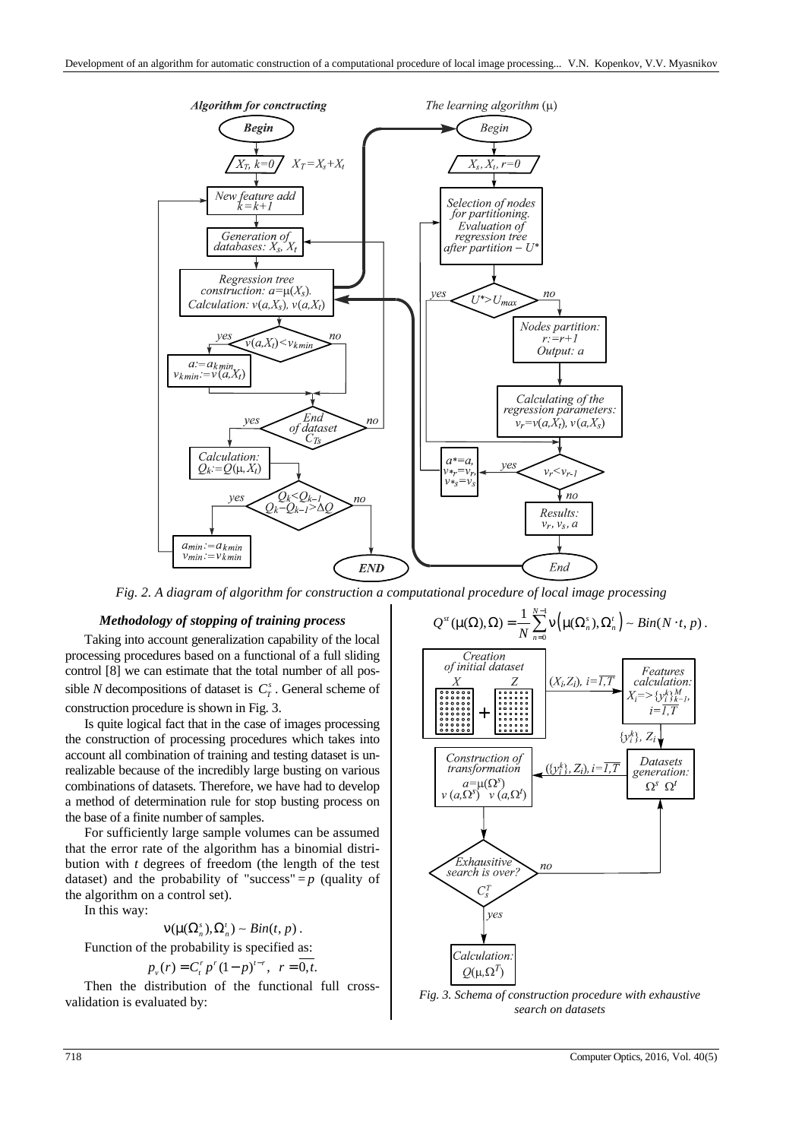

*Fig. 2. A diagram of algorithm for construction a compu* 

## *Methodology of stopping of training process*

Taking into account generalization capability of the local processing procedures based on a functional of a full sliding control [8] we can estimate that the total number of all possible *N* decompositions of dataset is  $C_T^s$ . General scheme of construction procedure is shown in Fig. 3.

Is quite logical fact that in the case of images processing the construction of processing procedures which takes into account all combination of training and testing dataset is unrealizable because of the incredibly large busting on various combinations of datasets. Therefore, we have had to develop a method of determination rule for stop busting process on the base of a finite number of samples.

For sufficiently large sample volumes can be assumed that the error rate of the algorithm has a binomial distribution with *t* degrees of freedom (the length of the test dataset) and the probability of "success" =  $p$  (quality of the algorithm on a control set).

In this way:

$$
V(\mu(\Omega_n^s),\Omega_n^t) \sim Bin(t,p).
$$

Function of the probability is specified as:

$$
p_v(r) = C_t^r p^r (1-p)^{t-r}, r = \overline{0,t}.
$$

Then the distribution of the functional full crossvalidation is evaluated by:

trational procedure of local image processing

\n
$$
Q^{st}(\mu(\Omega), \Omega) = \frac{1}{N} \sum_{n=0}^{N-1} \nu\left(\mu(\Omega_n^s), \Omega_n'\right) \sim Bin(N \cdot t, p).
$$
\nCreating of initial dataset

\n
$$
\begin{array}{|l|}\n\hline\n\text{Cretation} \\
\hline\n\text{of initial dataset} \\
\hline\n\text{invariant} \\
\hline\n\text{invariant} \\
\hline\n\text{invariant} \\
\hline\n\text{invariant} \\
\hline\n\text{invariant} \\
\hline\n\text{invariant} \\
\hline\n\text{invariant} \\
\hline\n\text{invariant} \\
\hline\n\text{invariant} \\
\hline\n\text{invariant} \\
\hline\n\text{invariant} \\
\hline\n\text{invariant} \\
\hline\n\text{invariant} \\
\hline\n\text{invariant} \\
\hline\n\text{invariant} \\
\hline\n\text{invariant} \\
\hline\n\text{invariant} \\
\hline\n\text{invariant} \\
\hline\n\text{invariant} \\
\hline\n\text{invariant} \\
\hline\n\text{invariant} \\
\hline\n\text{invariant} \\
\hline\n\text{invariant} \\
\hline\n\text{invariant} \\
\hline\n\text{invariant} \\
\hline\n\text{invariant} \\
\hline\n\text{invariant} \\
\hline\n\text{invariant} \\
\hline\n\text{invariant} \\
\hline\n\text{invariant} \\
\hline\n\text{invariant} \\
\hline\n\text{invariant} \\
\hline\n\text{invariant} \\
\hline\n\text{invariant} \\
\hline\n\text{invariant} \\
\hline\n\text{invariant} \\
\hline\n\text{invariant} \\
\hline\n\text{invariant} \\
\hline\n\text{invariant} \\
\hline\n\text{in initial dataset} \\
\hline\n\text{invariant} \\
\hline\n\text{invariant} \\
\hline\n\text{invariant} \\
\hline\n\text{invariant} \\
\hline\n\text{invariant} \\
\hline\n\text{invariant} \\
\hline\n\text{invariant} \\
\hline\n\text{in initial} \\
\hline\n\text{invariant} \\
\hline\n\text{in initial} \\
\hline\n\text{invariant} \\
\hline\n\text{in initial} \\
\hline\n\text{in initial} \\
\hline\n\text{in initial} \\
\hline\n\text{in initial} \\
\hline\n\text{in initial} \\
\hline\n\text{in initial} \\
\hline\n\text
$$

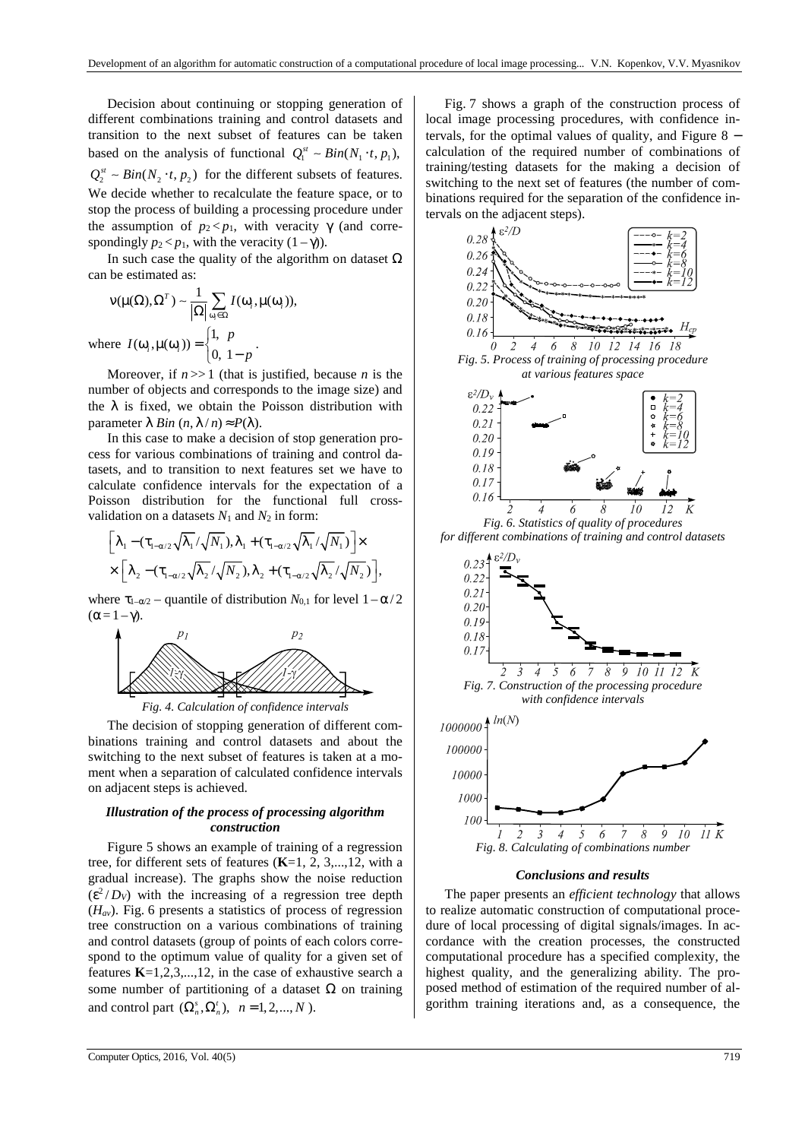Decision about continuing or stopping generation of different combinations training and control datasets and transition to the next subset of features can be taken based on the analysis of functional  $Q_1^{st} \sim Bin(N_1 \cdot t, p_1)$ ,  $Q_2^{st} \sim Bin(N_2 \cdot t, p_2)$  for the different subsets of features. We decide whether to recalculate the feature space, or to stop the process of building a processing procedure under the assumption of  $p_2 < p_1$ , with veracity  $\gamma$  (and correspondingly  $p_2 < p_1$ , with the veracity  $(1 - \gamma)$ ).

In such case the quality of the algorithm on dataset  $\Omega$ can be estimated as:

$$
v(\mu(\Omega), \Omega^T) \sim \frac{1}{|\Omega|} \sum_{\omega_i \in \Omega} I(\omega_i, \mu(\omega_i)),
$$
  
where  $I(\omega_i, \mu(\omega_i)) = \begin{cases} 1, & p \\ 0, & 1 - p \end{cases}$ .

Moreover, if  $n \gg 1$  (that is justified, because *n* is the number of objects and corresponds to the image size) and the  $\lambda$  is fixed, we obtain the Poisson distribution with parameter  $λ Bin (n, λ/n) ≈ P(λ)$ .

In this case to make a decision of stop generation process for various combinations of training and control datasets, and to transition to next features set we have to calculate confidence intervals for the expectation of a Poisson distribution for the functional full crossvalidation on a datasets  $N_1$  and  $N_2$  in form:

$$
\begin{aligned}&\Big[\lambda_1-(\tau_{1-\alpha/2}\sqrt{\lambda_1}/\sqrt{N_1}),\lambda_1+(\tau_{1-\alpha/2}\sqrt{\lambda_1}/\sqrt{N_1})\Big]\times\\&\times\Big[\lambda_2-(\tau_{1-\alpha/2}\sqrt{\lambda_2}/\sqrt{N_2}),\lambda_2+(\tau_{1-\alpha/2}\sqrt{\lambda_2}/\sqrt{N_2})\Big],\end{aligned}
$$

where  $\tau_{1-\alpha/2}$  – quantile of distribution  $N_{0,1}$  for level  $1-\alpha/2$  $(\alpha = 1 - \gamma).$ 



*Fig. 4. Calculation of confidence intervals* 

The decision of stopping generation of different combinations training and control datasets and about the switching to the next subset of features is taken at a moment when a separation of calculated confidence intervals on adjacent steps is achieved.

# *Illustration of the process of processing algorithm construction*

Figure 5 shows an example of training of a regression tree, for different sets of features (**K**=1, 2, 3,...,12, with a gradual increase). The graphs show the noise reduction  $(\varepsilon^2/D_V)$  with the increasing of a regression tree depth (*Hav*). Fig. 6 presents a statistics of process of regression tree construction on a various combinations of training and control datasets (group of points of each colors correspond to the optimum value of quality for a given set of features **K**=1,2,3,...,12, in the case of exhaustive search a some number of partitioning of a dataset  $Ω$  on training and control part  $(\Omega_n^s, \Omega_n^t)$ ,  $n = 1,2,..., N$ .

Fig. 7 shows a graph of the construction process of local image processing procedures, with confidence intervals, for the optimal values of quality, and Figure  $8$ calculation of the required number of combinations of training/testing datasets for the making a decision of switching to the next set of features (the number of combinations required for the separation of the confidence intervals on the adjacent steps).





# *Conclusions and results*

The paper presents an *efficient technology* that allows to realize automatic construction of computational procedure of local processing of digital signals/images. In accordance with the creation processes, the constructed computational procedure has a specified complexity, the highest quality, and the generalizing ability. The proposed method of estimation of the required number of algorithm training iterations and, as a consequence, the